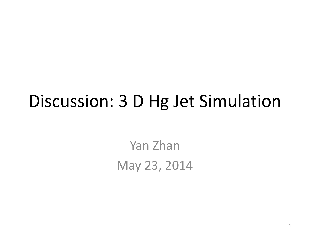# Discussion: 3 D Hg Jet Simulation

Yan Zhan May 23, 2014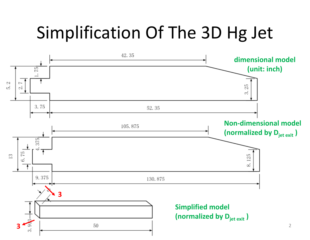# Simplification Of The 3D Hg Jet

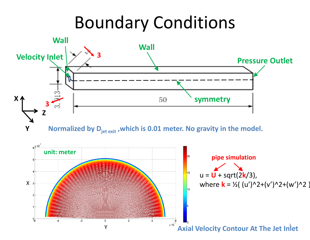# Boundary Conditions



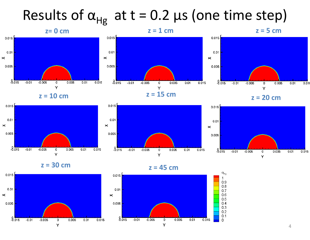## Results of  $\alpha_{\rm Hg}^-$  at t = 0.2 μs (one time step)



 $\mathbf{\times}$ 

0.005

 $-8.015$ 

 $-0.01$ 

 $-0.005$ 

 $\overline{0}$ 

Y

 $0.005$ 

 $0.01$ 

0.015

 $\mathord{\times}$ 

 $0.005$ 

 $-0.015$ 

 $-0.01$ 

 $-0.005$ 

 $\pmb{0}$ 

Y

0.005

 $0.01$ 

0.015

4

 $0.6$ 

 $0.5$ 

 $0.4$  $0.3$  $0.2$  $0.1$ 

0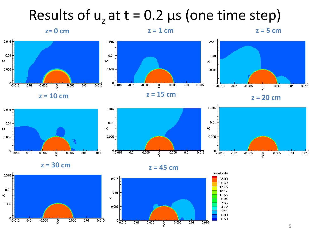#### Results of  $u_z$  at t = 0.2  $\mu$ s (one time step)





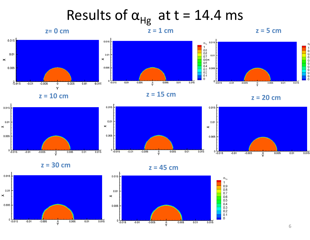# Results of  $\alpha_{\rm Hg}^{}$  at t = 14.4 ms



**z <sup>=</sup> 30 cm**







0.000

0.

0.

0.

0.

 $\Omega$ 

 $0.015$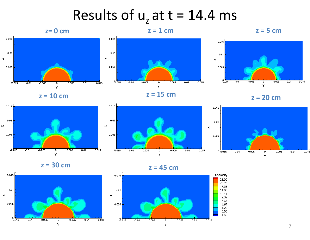## Results of u<sub>z</sub> at t = 14.4 ms





 $\pmb{\times}$ 

 $\times$ 

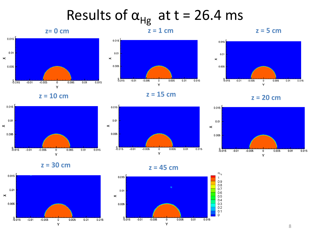## Results of  $\alpha_{\rm Hg}^-$  at t = 26.4 ms

#### **z= 0 cm**





**z <sup>=</sup> 10 cm**



**<sup>z</sup> <sup>=</sup> <sup>15</sup> cm <sup>z</sup>**



**<sup>=</sup> 20 cm**







**z <sup>=</sup> 30 cm**



**<sup>=</sup> 45 cm**

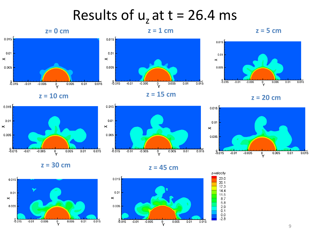## Results of u<sub>z</sub> at t = 26.4 ms





 $\mathord{\times}$ 

 $\boldsymbol{\times}$ 

 $0.015$ 





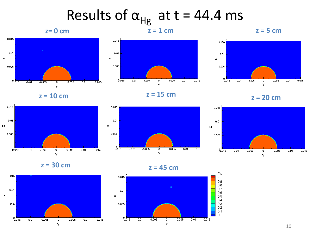## Results of  $\alpha_{\rm Hg}^-$  at t = 44.4 ms

#### **z= 0 cm**









**z <sup>=</sup> 10 cm**



**<sup>z</sup> <sup>=</sup> <sup>15</sup> cm <sup>z</sup>**

**<sup>=</sup> 20 cm**







**z <sup>=</sup> 30 cm**



**<sup>=</sup> 45 cm**